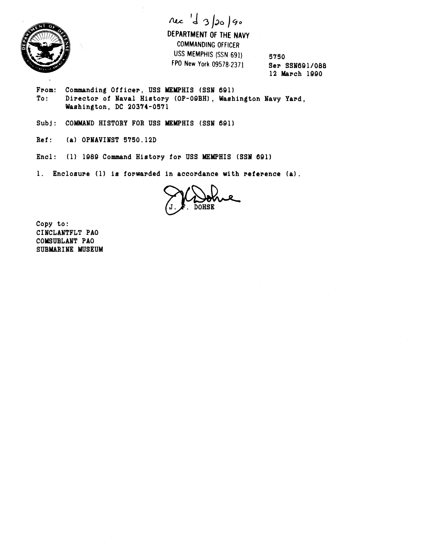

née 'd 3/20/90

**DEPARTMENT OF THE NAVY COMMANDING OFFICER USS MEMPHIS (SSN 691) 5750 FPO New York** 09578-2371 **Ser SSN691/068** 

**12 krch lgQ0** 

From: Commanding Officer, USS MEMPHIS (SSN 691)<br>To: Director of Naval History (OP-09BH), Wash Director of Naval History (OP-09BH), Washington Navy Yard, **Washington, DC 20374-0571** 

Subj: COMMAND HISTORY FOR USS MEMPHIS (SSN 691)

- **Ref** : **(a) OPNAVINST 5750.12D**
- **Encl: (1) 1989 Command History for USS MEMPHIS (SSN 691)**
- **1. Encloeure (1) is forwarded in accordance with reference (a).**

**Copy to: CINCLANTFLT PA0 COMSUBLANT PA0 SUBMARINE MUSEUM**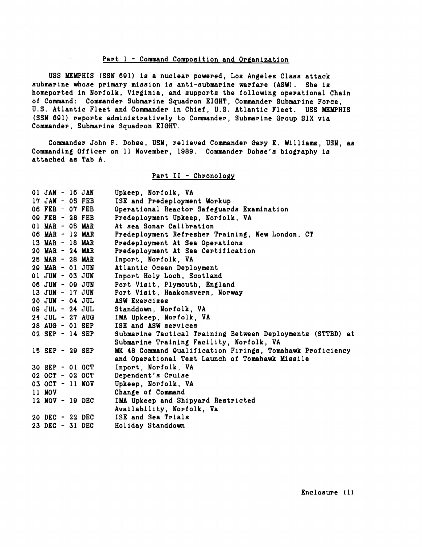## **Part 1** - **Command Composition and Organization**

**USS MEMPHIS (SSN 691) is a nuclear powered, LOB Angeles Class attack**  submarine whose primary mission is anti-submarine warfare (ASW). She is **homeported in Norfolk, Virginia, and supports the following operational Chain of Command: Commander Submarine Squadron EIGHT, Commander Submarine Force, U.S. Atlantic Fleet and Commander in Chief, U.S. Atlantic Fleet. USS MEMPHIS (SSN 601) reports administratively to Commander, Submarine Group SIX via Commander, Submarine Squadron EIOHT.** 

**Commander John F. Dohse, USN, relieved Commander Gary E. Williams, USN, as Commanding Officer on 11 November, 1080. Commander Dohse's biography is attached as Tab A.** 

## Part II - Chronology

| 01 JAN - 16 JAN     |  | Upkeep, Norfolk, VA                                        |
|---------------------|--|------------------------------------------------------------|
| $17$ JAN - $05$ FEB |  | ISE and Predeployment Workup                               |
| 06 FEB - 07 FEB     |  | Operational Reactor Safeguards Examination                 |
| 09 FEB - 28 FEB     |  | Predeployment Upkeep, Norfolk, VA                          |
| $01$ MAR - $05$ MAR |  | At sea Sonar Calibration                                   |
| 06 MAR - 12 MAR     |  | Predeployment Refresher Training, New London, CT           |
| $13$ MAR - $18$ MAR |  | Predeployment At Sea Operations                            |
| $20$ MAR - $24$ MAR |  | Predeployment At Sea Certification                         |
| $25$ MAR - $28$ MAR |  | Inport, Norfolk, VA                                        |
| $29$ MAR - 01 JUN   |  | Atlantic Ocean Deployment                                  |
| $01$ JUN - $03$ JUN |  | Inport Holy Loch, Scotland                                 |
| 06 JUN - 09 JUN     |  | Port Visit, Plymouth, England                              |
| $13$ JUN - $17$ JUN |  | Port Visit, Haakonsvern, Norway                            |
| $20$ JUN - 04 JUL   |  | ASW Exercises                                              |
| 09 JUL - 24 JUL     |  | Standdown, Norfolk, VA                                     |
| 24 JUL - 27 AUG     |  | IMA Upkeep, Norfolk, VA                                    |
| 28 AUG - 01 SEP     |  | ISE and ASW services                                       |
| $02$ SEP - 14 SEP   |  | Submarine Tactical Training Between Deployments (STTBD) at |
|                     |  | Submarine Training Facility, Norfolk, VA                   |
| 15 SEP - 29 SEP     |  | MK 48 Command Qualification Firings, Tomahawk Proficiency  |
|                     |  | and Operational Test Launch of Tomahawk Missile            |
| 30 SEP - 01 OCT     |  | Inport, Norfolk, VA                                        |
| 02 OCT - 02 OCT     |  | Dependent's Cruise                                         |
| 03 OCT - 11 NOV     |  | Upkeep, Norfolk, VA                                        |
| 11 NOV              |  | Change of Command                                          |
| 12 NOV - 19 DEC     |  | IMA Upkeep and Shipyard Restricted                         |
|                     |  | Availability, Norfolk, Va                                  |
| 20 DEC - 22 DEC     |  | ISE and Sea Trials                                         |
| 23 DEC - 31 DEC     |  | Holiday Standdown                                          |